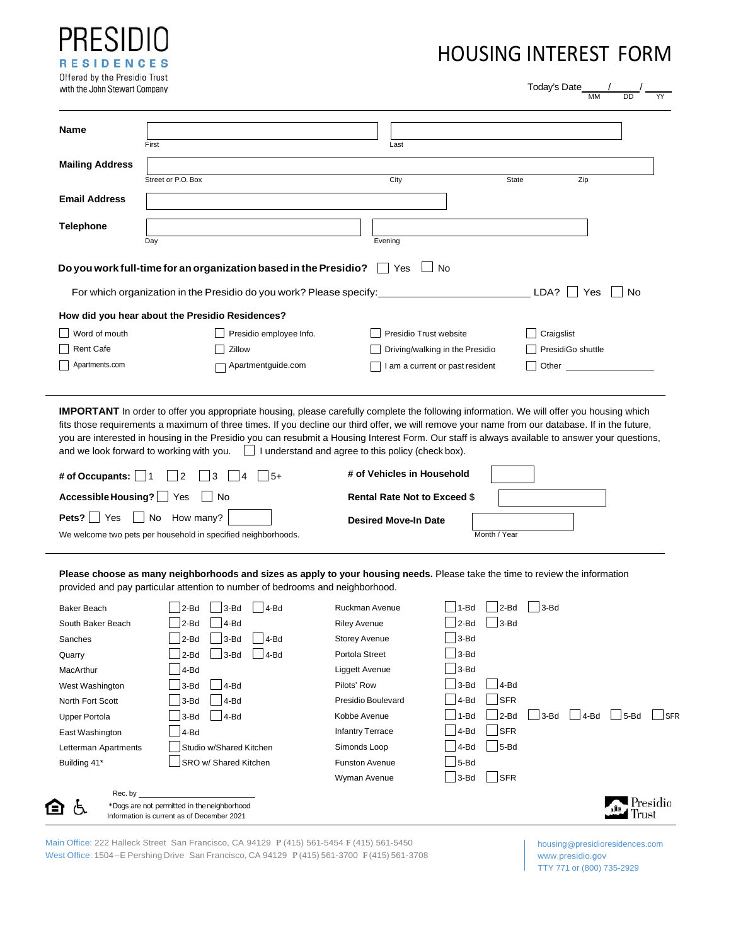| PRESIDIO                      |
|-------------------------------|
| <b>RESIDENCES</b>             |
| Offered by the Presidio Trust |
| with the John Stewart Company |

# HOUSING INTEREST FORM

| Name                                                                                                                                                     |                                                                                                                                                                                                                                                                                                                                                                                                                                                                                                                                                                                                       |                                                                   |                                     |                     |          |
|----------------------------------------------------------------------------------------------------------------------------------------------------------|-------------------------------------------------------------------------------------------------------------------------------------------------------------------------------------------------------------------------------------------------------------------------------------------------------------------------------------------------------------------------------------------------------------------------------------------------------------------------------------------------------------------------------------------------------------------------------------------------------|-------------------------------------------------------------------|-------------------------------------|---------------------|----------|
| <b>Mailing Address</b>                                                                                                                                   | First                                                                                                                                                                                                                                                                                                                                                                                                                                                                                                                                                                                                 | Last                                                              |                                     |                     |          |
|                                                                                                                                                          | Street or P.O. Box                                                                                                                                                                                                                                                                                                                                                                                                                                                                                                                                                                                    | City                                                              |                                     | <b>State</b><br>Zip |          |
| <b>Email Address</b>                                                                                                                                     |                                                                                                                                                                                                                                                                                                                                                                                                                                                                                                                                                                                                       |                                                                   |                                     |                     |          |
| <b>Telephone</b>                                                                                                                                         |                                                                                                                                                                                                                                                                                                                                                                                                                                                                                                                                                                                                       |                                                                   |                                     |                     |          |
|                                                                                                                                                          | Day<br>Do you work full-time for an organization based in the Presidio?                                                                                                                                                                                                                                                                                                                                                                                                                                                                                                                               | Evening<br>Yes                                                    | $\Box$ No                           |                     |          |
|                                                                                                                                                          | For which organization in the Presidio do you work? Please specify:                                                                                                                                                                                                                                                                                                                                                                                                                                                                                                                                   |                                                                   |                                     | LDA?<br>Yes         | No       |
|                                                                                                                                                          | How did you hear about the Presidio Residences?                                                                                                                                                                                                                                                                                                                                                                                                                                                                                                                                                       |                                                                   |                                     |                     |          |
| Word of mouth                                                                                                                                            | Presidio employee Info.                                                                                                                                                                                                                                                                                                                                                                                                                                                                                                                                                                               |                                                                   | Presidio Trust website              | Craigslist          |          |
| <b>Rent Cafe</b>                                                                                                                                         | Zillow                                                                                                                                                                                                                                                                                                                                                                                                                                                                                                                                                                                                |                                                                   | Driving/walking in the Presidio     | PresidiGo shuttle   |          |
| Apartments.com                                                                                                                                           | Apartmentguide.com                                                                                                                                                                                                                                                                                                                                                                                                                                                                                                                                                                                    |                                                                   | I am a current or past resident     | Other               |          |
|                                                                                                                                                          | <b>IMPORTANT</b> In order to offer you appropriate housing, please carefully complete the following information. We will offer you housing which<br>fits those requirements a maximum of three times. If you decline our third offer, we will remove your name from our database. If in the future,<br>you are interested in housing in the Presidio you can resubmit a Housing Interest Form. Our staff is always available to answer your questions,<br>and we look forward to working with you.     understand and agree to this policy (check box).<br>2<br>$\vert$ 3<br>$ $   4<br>$15+$<br>∣ No | # of Vehicles in Household<br><b>Rental Rate Not to Exceed \$</b> |                                     |                     |          |
|                                                                                                                                                          | We welcome two pets per household in specified neighborhoods.                                                                                                                                                                                                                                                                                                                                                                                                                                                                                                                                         | <b>Desired Move-In Date</b>                                       | Month / Year                        |                     |          |
| # of Occupants: $\Box$ 1<br>Accessible Housing? Yes<br><b>Pets?</b> $\Box$ Yes $\Box$ No How many?                                                       | Please choose as many neighborhoods and sizes as apply to your housing needs. Please take the time to review the information<br>provided and pay particular attention to number of bedrooms and neighborhood.                                                                                                                                                                                                                                                                                                                                                                                         |                                                                   |                                     |                     |          |
| Baker Beach                                                                                                                                              | $2-Bd$ 3-Bd 4-Bd                                                                                                                                                                                                                                                                                                                                                                                                                                                                                                                                                                                      | Ruckman Avenue                                                    | $\Box$ 1-Bd $\Box$ 2-Bd $\Box$ 3-Bd |                     |          |
| South Baker Beach                                                                                                                                        | 4-Bd<br>2-Bd                                                                                                                                                                                                                                                                                                                                                                                                                                                                                                                                                                                          | <b>Riley Avenue</b>                                               | 3-Bd<br>2-Bd                        |                     |          |
|                                                                                                                                                          | 3-Bd<br>$ 4-Bd$<br>2-Bd                                                                                                                                                                                                                                                                                                                                                                                                                                                                                                                                                                               | <b>Storey Avenue</b>                                              | 3-Bd                                |                     |          |
|                                                                                                                                                          | 3-Bd<br>$ 4-Bd$<br>2-Bd                                                                                                                                                                                                                                                                                                                                                                                                                                                                                                                                                                               | Portola Street                                                    | 3-Bd                                |                     |          |
|                                                                                                                                                          | 4-Bd                                                                                                                                                                                                                                                                                                                                                                                                                                                                                                                                                                                                  | Liggett Avenue                                                    | 3-Bd                                |                     |          |
|                                                                                                                                                          | 4-Bd<br>3-Bd                                                                                                                                                                                                                                                                                                                                                                                                                                                                                                                                                                                          | Pilots' Row                                                       | 3-Bd<br>4-Bd                        |                     |          |
|                                                                                                                                                          | 4-Bd<br>3-Bd                                                                                                                                                                                                                                                                                                                                                                                                                                                                                                                                                                                          | Presidio Boulevard                                                | <b>SFR</b><br>4-Bd                  |                     |          |
|                                                                                                                                                          | 4-Bd<br>3-Bd                                                                                                                                                                                                                                                                                                                                                                                                                                                                                                                                                                                          | Kobbe Avenue                                                      | $1 - Bd$<br>2-Bd                    | 3-Bd<br>$ 4-Bd$     | $5 - Bd$ |
|                                                                                                                                                          | 4-Bd                                                                                                                                                                                                                                                                                                                                                                                                                                                                                                                                                                                                  | <b>Infantry Terrace</b>                                           | <b>SFR</b><br>4-Bd                  |                     |          |
| Sanches<br>Quarry<br>MacArthur<br>West Washington<br>North Fort Scott<br><b>Upper Portola</b><br>East Washington<br>Letterman Apartments<br>Building 41* | Studio w/Shared Kitchen<br>SRO w/ Shared Kitchen                                                                                                                                                                                                                                                                                                                                                                                                                                                                                                                                                      | Simonds Loop<br><b>Funston Avenue</b>                             | 5-Bd<br>4-Bd<br>5-Bd                |                     |          |

Main Office: 222 Halleck Street San Francisco, CA 94129 **P** (415) 561-5454 **F** (415) 561-5450 West Office: 1504 – E Pershing Drive San Francisco, CA 94129 **P** (415) 561-3700 **F** (415) 561-3708

[housing@presidioresidences.com](mailto:housing@presidioresidences.com) [www.presidio.gov](http://www.presidio.gov/) TTY 771 or (800) 735-2929